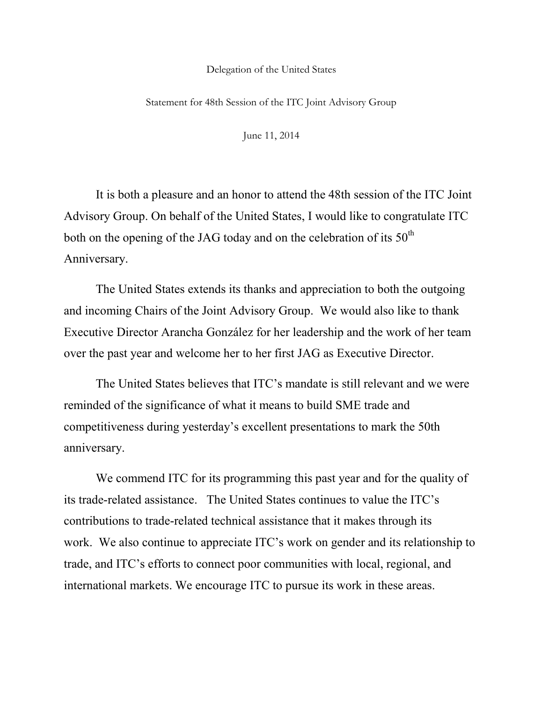## Delegation of the United States

Statement for 48th Session of the ITC Joint Advisory Group

June 11, 2014

It is both a pleasure and an honor to attend the 48th session of the ITC Joint Advisory Group. On behalf of the United States, I would like to congratulate ITC both on the opening of the JAG today and on the celebration of its  $50<sup>th</sup>$ Anniversary.

The United States extends its thanks and appreciation to both the outgoing and incoming Chairs of the Joint Advisory Group. We would also like to thank Executive Director Arancha González for her leadership and the work of her team over the past year and welcome her to her first JAG as Executive Director.

The United States believes that ITC's mandate is still relevant and we were reminded of the significance of what it means to build SME trade and competitiveness during yesterday's excellent presentations to mark the 50th anniversary.

We commend ITC for its programming this past year and for the quality of its trade-related assistance. The United States continues to value the ITC's contributions to trade-related technical assistance that it makes through its work. We also continue to appreciate ITC's work on gender and its relationship to trade, and ITC's efforts to connect poor communities with local, regional, and international markets. We encourage ITC to pursue its work in these areas.